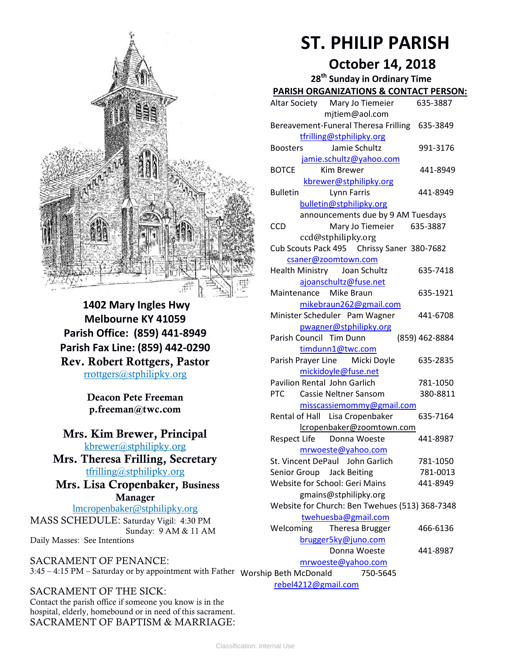

**1402 Mary Ingles Hwy Melbourne KY 41059 Parish Office: (859) 441-8949 Parish Fax Line: (859) 442-0290 Rev. Robert Rottgers, Pastor**  [rrottgers@stphilipky.org](mailto:rrottgers@stphilipky.org)

> **Deacon Pete Freeman p.freeman@twc.com**

### **Mrs. Kim Brewer, Principal**  [kbrewer@stphilipky.org](mailto:kbrewer@stphilipky.org)

**Mrs. Theresa Frilling, Secretary**  [tfrilling@stphilipky.org](mailto:tfrilling@stphilipky.org)

### **Mrs. Lisa Cropenbaker, Business Manager**

lmcropenbaker@stphilipky.org MASS SCHEDULE: Saturday Vigil: 4:30 PM Sunday: 9 AM & 11 AM Daily Masses: See Intentions

SACRAMENT OF PENANCE: 3:45 – 4:15 PM – Saturday or by appointment with Father Worship Beth McDonald 750-5645

SACRAMENT OF THE SICK: Contact the parish office if someone you know is in the hospital, elderly, homebound or in need of this sacrament. SACRAMENT OF BAPTISM & MARRIAGE:

# **ST. PHILIP PARISH**

# **October 14, 2018**

| 28 <sup>th</sup> Sunday in Ordinary Time          |                |
|---------------------------------------------------|----------------|
| <b>PARISH ORGANIZATIONS &amp; CONTACT PERSON:</b> |                |
| Altar Society Mary Jo Tiemeier                    | 635-3887       |
| mjtiem@aol.com                                    |                |
| Bereavement-Funeral Theresa Frilling 635-3849     |                |
| tfrilling@stphilipky.org                          |                |
| Jamie Schultz<br><b>Boosters</b>                  | 991-3176       |
| jamie.schultz@yahoo.com                           |                |
| BOTCE<br>Kim Brewer                               | 441-8949       |
| kbrewer@stphilipky.org                            |                |
| <b>Bulletin</b><br>Lynn Farris                    | 441-8949       |
| bulletin@stphilipky.org                           |                |
| announcements due by 9 AM Tuesdays                |                |
| <b>CCD</b><br>Mary Jo Tiemeier                    | 635-3887       |
| ccd@stphilipky.org                                |                |
| Cub Scouts Pack 495 Chrissy Saner 380-7682        |                |
| csaner@zoomtown.com                               |                |
| Health Ministry Joan Schultz                      | 635-7418       |
| ajoanschultz@fuse.net                             |                |
| Maintenance Mike Braun                            | 635-1921       |
| mikebraun262@gmail.com                            |                |
| Minister Scheduler Pam Wagner                     | 441-6708       |
| pwagner@stphilipky.org<br>Parish Council Tim Dunn | (859) 462-8884 |
| timdunn1@twc.com                                  |                |
| Parish Prayer Line Micki Doyle                    | 635-2835       |
| mickidoyle@fuse.net                               |                |
| <b>Pavilion Rental John Garlich</b>               | 781-1050       |
| <b>PTC</b><br>Cassie Neltner Sansom               | 380-8811       |
| misscassiemommy@gmail.com                         |                |
| Rental of Hall Lisa Cropenbaker                   | 635-7164       |
| lcropenbaker@zoomtown.com                         |                |
| Respect Life Donna Woeste                         | 441-8987       |
| <u>mrwoeste@yahoo.com</u>                         |                |
| St. Vincent DePaul John Garlich                   | 781-1050       |
| Senior Group Jack Beiting                         | 781-0013       |
| Website for School: Geri Mains                    | 441-8949       |
| gmains@stphilipky.org                             |                |
| Website for Church: Ben Twehues (513) 368-7348    |                |
| twehuesba@gmail.com                               |                |
| Theresa Brugger<br>Welcoming                      | 466-6136       |
| brugger5ky@juno.com                               |                |
| Donna Woeste                                      | 441-8987       |
| mrwoeste@yahoo.com                                |                |
| ip Beth McDonald<br>750-5645                      |                |

[rebel4212@gmail.com](mailto:trebel4212@gmail.com)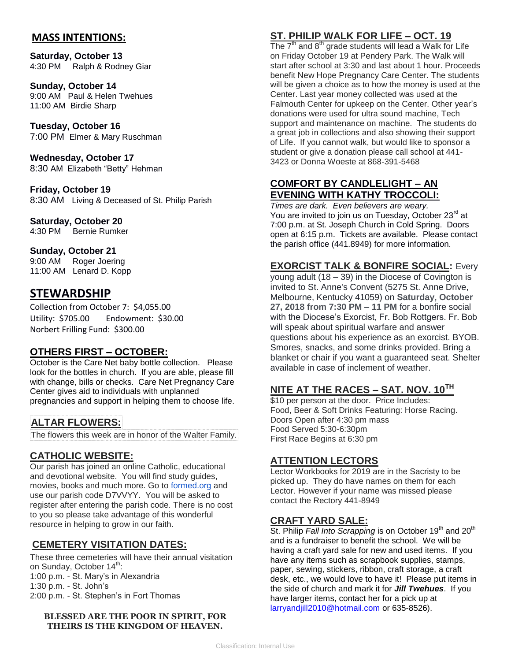### **MASS INTENTIONS:**

**Saturday, October 13** 4:30 PM Ralph & Rodney Giar

**Sunday, October 14** 9:00 AM Paul & Helen Twehues 11:00 AM Birdie Sharp

**Tuesday, October 16** 7:00 PM Elmer & Mary Ruschman

**Wednesday, October 17** 8:30 AM Elizabeth "Betty" Hehman

**Friday, October 19** 8:30 AMLiving & Deceased of St. Philip Parish

### **Saturday, October 20**

4:30 PM Bernie Rumker

### **Sunday, October 21**

9:00 AM Roger Joering 11:00 AM Lenard D. Kopp

## **STEWARDSHIP**

Collection from October 7: \$4,055.00 Utility: \$705.00 Endowment: \$30.00 Norbert Frilling Fund: \$300.00

### **OTHERS FIRST – OCTOBER:**

October is the Care Net baby bottle collection. Please look for the bottles in church. If you are able, please fill with change, bills or checks. Care Net Pregnancy Care Center gives aid to individuals with unplanned pregnancies and support in helping them to choose life.

## **ALTAR FLOWERS:**

The flowers this week are in honor of the Walter Family.

### **CATHOLIC WEBSITE:**

Our parish has joined an online Catholic, educational and devotional website. You will find study guides, movies, books and much more. Go to [formed.org](http://formed.org/) and use our parish code D7VVYY. You will be asked to register after entering the parish code. There is no cost to you so please take advantage of this wonderful resource in helping to grow in our faith.

## **CEMETERY VISITATION DATES:**

These three cemeteries will have their annual visitation on Sunday, October 14<sup>th</sup>: 1:00 p.m. - St. Mary's in Alexandria 1:30 p.m. - St. John's 2:00 p.m. - St. Stephen's in Fort Thomas

#### **BLESSED ARE THE POOR IN SPIRIT, FOR THEIRS IS THE KINGDOM OF HEAVEN.**

# **ST. PHILIP WALK FOR LIFE – OCT. 19**

The  $7<sup>th</sup>$  and  $8<sup>th</sup>$  grade students will lead a Walk for Life on Friday October 19 at Pendery Park. The Walk will start after school at 3:30 and last about 1 hour. Proceeds benefit New Hope Pregnancy Care Center. The students will be given a choice as to how the money is used at the Center. Last year money collected was used at the Falmouth Center for upkeep on the Center. Other year's donations were used for ultra sound machine, Tech support and maintenance on machine. The students do a great job in collections and also showing their support of Life. If you cannot walk, but would like to sponsor a student or give a donation please call school at 441- 3423 or Donna Woeste at 868-391-5468

## **COMFORT BY CANDLELIGHT – AN EVENING WITH KATHY TROCCOLI:**

*Times are dark. Even believers are weary.*  You are invited to join us on Tuesday, October 23<sup>rd</sup> at 7:00 p.m. at St. Joseph Church in Cold Spring. Doors open at 6:15 p.m. Tickets are available. Please contact the parish office (441.8949) for more information.

**EXORCIST TALK & BONFIRE SOCIAL:** Every

young adult (18 – 39) in the Diocese of Covington is invited to St. Anne's Convent (5275 St. Anne Drive, Melbourne, Kentucky 41059) on **Saturday, October 27, 2018 from 7:30 PM – 11 PM** for a bonfire social with the Diocese's Exorcist, Fr. Bob Rottgers. Fr. Bob will speak about spiritual warfare and answer questions about his experience as an exorcist. BYOB. Smores, snacks, and some drinks provided. Bring a blanket or chair if you want a guaranteed seat. Shelter available in case of inclement of weather.

# **NITE AT THE RACES – SAT. NOV. 10TH**

\$10 per person at the door. Price Includes: Food, Beer & Soft Drinks Featuring: Horse Racing. Doors Open after 4:30 pm mass Food Served 5:30-6:30pm First Race Begins at 6:30 pm

### **ATTENTION LECTORS**

Lector Workbooks for 2019 are in the Sacristy to be picked up. They do have names on them for each Lector. However if your name was missed please contact the Rectory 441-8949

### **CRAFT YARD SALE:**

St. Philip *Fall Into Scrapping* is on October 19<sup>th</sup> and 20<sup>th</sup> and is a fundraiser to benefit the school. We will be having a craft yard sale for new and used items. If you have any items such as scrapbook supplies, stamps, paper, sewing, stickers, ribbon, craft storage, a craft desk, etc., we would love to have it! Please put items in the side of church and mark it for *Jill Twehues*. If you have larger items, contact her for a pick up at [larryandjill2010@hotmail.com](mailto:larryandjill2010@hotmail.com) or 635-8526).